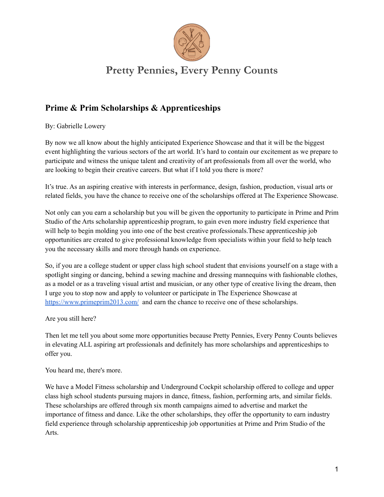

## **Pretty Pennies, Every Penny Counts**

## **Prime & Prim Scholarships & Apprenticeships**

By: Gabrielle Lowery

By now we all know about the highly anticipated Experience Showcase and that it will be the biggest event highlighting the various sectors of the art world. It's hard to contain our excitement as we prepare to participate and witness the unique talent and creativity of art professionals from all over the world, who are looking to begin their creative careers. But what if I told you there is more?

It's true. As an aspiring creative with interests in performance, design, fashion, production, visual arts or related fields, you have the chance to receive one of the scholarships offered at The Experience Showcase.

Not only can you earn a scholarship but you will be given the opportunity to participate in Prime and Prim Studio of the Arts scholarship apprenticeship program, to gain even more industry field experience that will help to begin molding you into one of the best creative professionals.These apprenticeship job opportunities are created to give professional knowledge from specialists within your field to help teach you the necessary skills and more through hands on experience.

So, if you are a college student or upper class high school student that envisions yourself on a stage with a spotlight singing or dancing, behind a sewing machine and dressing mannequins with fashionable clothes, as a model or as a traveling visual artist and musician, or any other type of creative living the dream, then I urge you to stop now and apply to volunteer or participate in The Experience Showcase at <https://www.primeprim2013.com/> and earn the chance to receive one of these scholarships.

Are you still here?

Then let me tell you about some more opportunities because Pretty Pennies, Every Penny Counts believes in elevating ALL aspiring art professionals and definitely has more scholarships and apprenticeships to offer you.

You heard me, there's more.

We have a Model Fitness scholarship and Underground Cockpit scholarship offered to college and upper class high school students pursuing majors in dance, fitness, fashion, performing arts, and similar fields. These scholarships are offered through six month campaigns aimed to advertise and market the importance of fitness and dance. Like the other scholarships, they offer the opportunity to earn industry field experience through scholarship apprenticeship job opportunities at Prime and Prim Studio of the Arts.